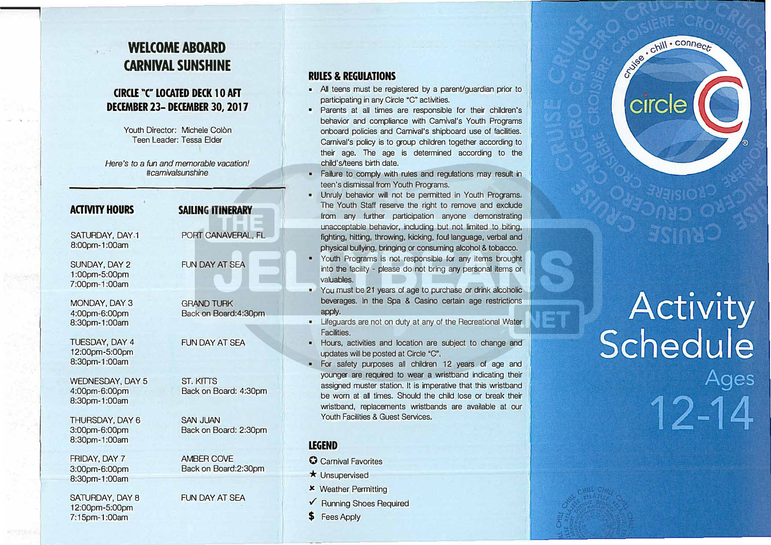# **WELCOME ABOARD CARNIVAL SUNSHINE**

77 M

#### **CIRCLE ·c- LOCATED DECK 10 AFT DECEMBER 23- DECEMBER 30, 2017**

Youth Director: Michele Colon Teen Leader: Tessa Elder

*Here's to* a *fun and memorable vacation! #camiva/sunshine* 

| <b>ACTIVITY HOURS</b>                              | <b>SAILING ITINERARY</b>                   |
|----------------------------------------------------|--------------------------------------------|
| SATURDAY, DAY.1<br>8:00pm-1:00am                   | PORT CANAVERAL, FL                         |
| SUNDAY, DAY 2<br>1:00pm-5:00pm<br>7:00pm-1:00am    | <b>FUN DAY AT SEA</b>                      |
| MONDAY, DAY 3<br>4:00pm-6:00pm<br>8:30pm-1:00am    | <b>GRAND TURK</b><br>Back on Board: 4:30pm |
| TUESDAY, DAY 4<br>12:00pm-5:00pm<br>8:30pm-1:00am  | <b>FUN DAY AT SEA</b>                      |
| WEDNESDAY, DAY 5<br>4:00pm-6:00pm<br>8:30pm-1:00am | <b>ST. KITTS</b><br>Back on Board: 4:30pm  |
| THURSDAY, DAY 6<br>3:00pm-6:00pm<br>8:30pm-1:00am  | <b>SAN JUAN</b><br>Back on Board: 2:30pm   |
| FRIDAY, DAY 7<br>3:00pm-6:00pm<br>8:30pm-1:00am    | <b>AMBER COVE</b><br>Back on Board: 2:30pm |
| SATURDAY, DAY 8<br>12:00pm-5:00pm<br>7:15pm-1:00am | <b>FUN DAY AT SFA</b>                      |

#### **RULES & REGUIATIONS**

- All teens must be registered by a parent/guardian prior to participating in any Circle "C" activities.
- Parents at all times are responsible for their children's behavior and compliance with Carnival's Youth Programs onboard policies and Carnival's shipboard use of facilities. Carnival's policy is to group children together according to their age. The age is determined according to the child's/teens birth date.
- Failure to comply with rules and regulations may result in teen's dismissal from Youth Programs.
- Unruly behavior will not be permitted in Youth Programs. The Youth Staff reserve the right to remove and exclude from any further participation anyone demonstrating unacceptable behavior, including but not limited to biting, fighting, hitting, throwing, kicking, foul language, verbal and physical bullying, bringing or consuming alcohol & tobacco.
- Youth Programs is not responsible for any items brought into the facility - please do not bring any personal items or valuables.
- You must be 21 years of age to purchase or drink alcoholic beverages. In the Spa & Casino certain age restrictions apply.
- Lifeguards are not on duty at any of the Recreational Water Facilities.
- Hours, activities and location are subject to change and updates will be posted at Circle "C".
- For safety purposes all children 12 years of age and younger are required to wear a wristband indicating their assigned muster station. It is imperative that this wristband be worn at all times. Should the child lose or break their wristband, replacements wristbands are available at our Youth Facilities & Guest Services.

#### **LEGEND**

- **0** Carnival Favorites
- $\star$  Unsupervised
- x Weather Permitting
- ./ Running Shoes Required
- **\$** Fees Apply



# **Activity<br>Schedule** Ages 12-14